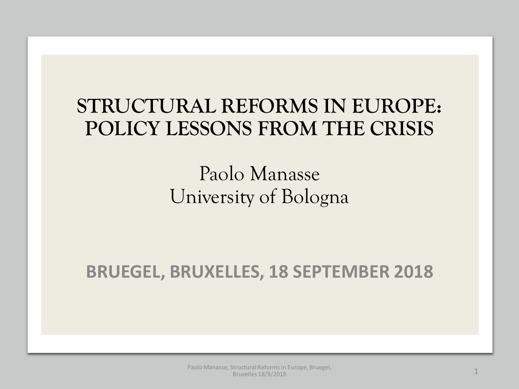## **STRUCTURAL REFORMS IN EUROPE: POLICY LESSONS FROM THE CRISIS**

### Paolo Manasse University of Bologna

**BRUEGEL, BRUXELLES, 18 SEPTEMBER 2018**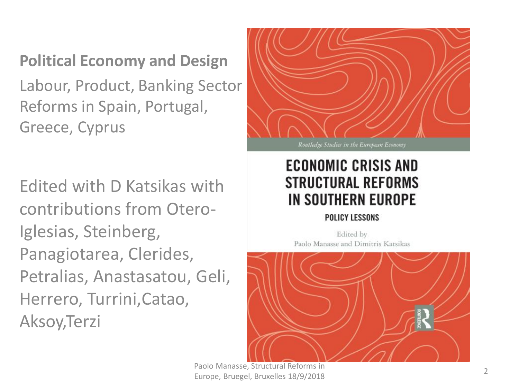### **Political Economy and Design**

Labour, Product, Banking Sector Reforms in Spain, Portugal, Greece, Cyprus

Edited with D Katsikas with contributions from Otero-Iglesias, Steinberg, Panagiotarea, Clerides, Petralias, Anastasatou, Geli, Herrero, Turrini,Catao, Aksoy,Terzi



Routledge Studies in the European Economy

### **ECONOMIC CRISIS AND** *STRUCTURAL REFORMS* IN SOUTHERN EUROPE

#### POLICY LESSONS

Edited by Paolo Manasse and Dimitris Katsikas



Paolo Manasse, Structural Reforms in Europe, Bruegel, Bruxelles 18/9/2018 <sup>2</sup>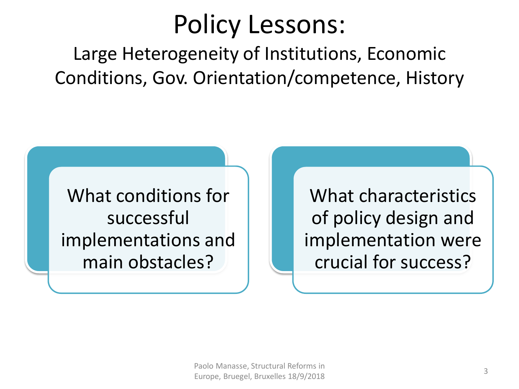## Policy Lessons:

Large Heterogeneity of Institutions, Economic Conditions, Gov. Orientation/competence, History

What conditions for successful implementations and main obstacles?

What characteristics of policy design and implementation were crucial for success?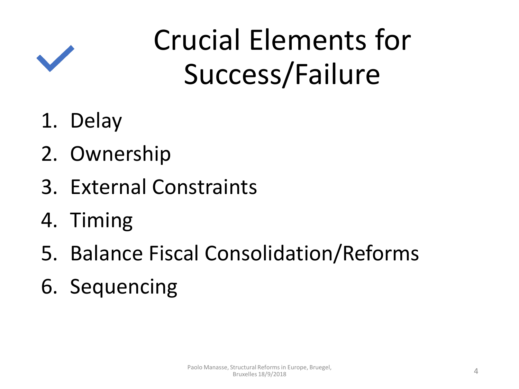

# Crucial Elements for Success/Failure

- 1. Delay
- 2. Ownership
- 3. External Constraints
- 4. Timing
- 5. Balance Fiscal Consolidation/Reforms
- 6. Sequencing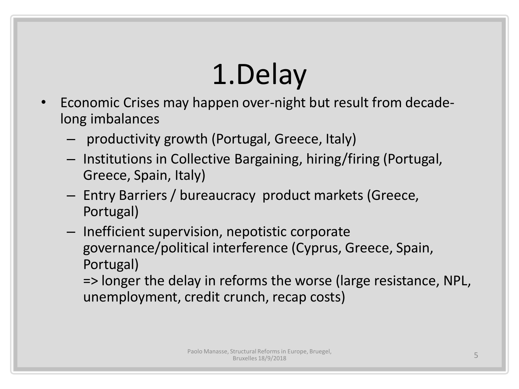# 1.Delay

- Economic Crises may happen over-night but result from decadelong imbalances
	- productivity growth (Portugal, Greece, Italy)
	- Institutions in Collective Bargaining, hiring/firing (Portugal, Greece, Spain, Italy)
	- Entry Barriers / bureaucracy product markets (Greece, Portugal)
	- Inefficient supervision, nepotistic corporate governance/political interference (Cyprus, Greece, Spain, Portugal)

=> longer the delay in reforms the worse (large resistance, NPL, unemployment, credit crunch, recap costs)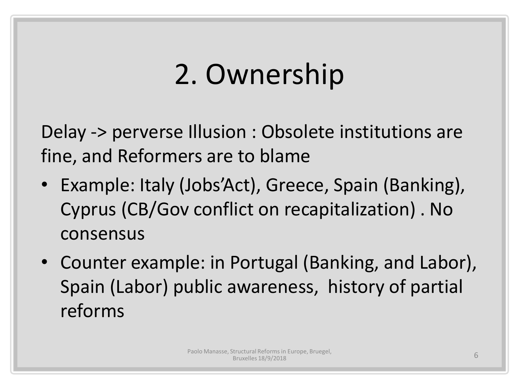## 2. Ownership

Delay -> perverse Illusion : Obsolete institutions are fine, and Reformers are to blame

- Example: Italy (Jobs'Act), Greece, Spain (Banking), Cyprus (CB/Gov conflict on recapitalization) . No consensus
- Counter example: in Portugal (Banking, and Labor), Spain (Labor) public awareness, history of partial reforms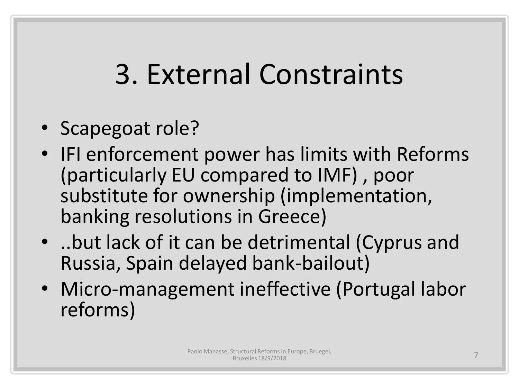# 3. External Constraints

- Scapegoat role?
- IFI enforcement power has limits with Reforms (particularly EU compared to IMF) , poor substitute for ownership (implementation, banking resolutions in Greece)
- ..but lack of it can be detrimental (Cyprus and Russia, Spain delayed bank-bailout)
- Micro-management ineffective (Portugal labor reforms)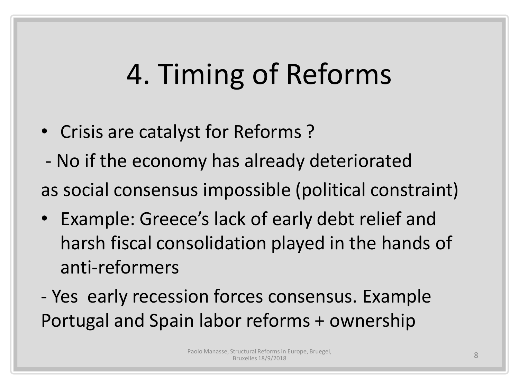# 4. Timing of Reforms

- Crisis are catalyst for Reforms ?
- No if the economy has already deteriorated as social consensus impossible (political constraint)
- Example: Greece's lack of early debt relief and harsh fiscal consolidation played in the hands of anti-reformers
- Yes early recession forces consensus. Example Portugal and Spain labor reforms + ownership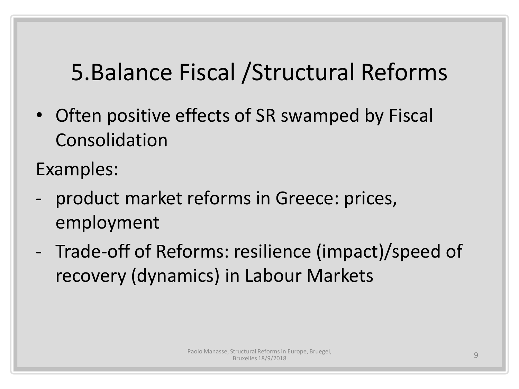## 5.Balance Fiscal /Structural Reforms

• Often positive effects of SR swamped by Fiscal Consolidation

Examples:

- product market reforms in Greece: prices, employment
- Trade-off of Reforms: resilience (impact)/speed of recovery (dynamics) in Labour Markets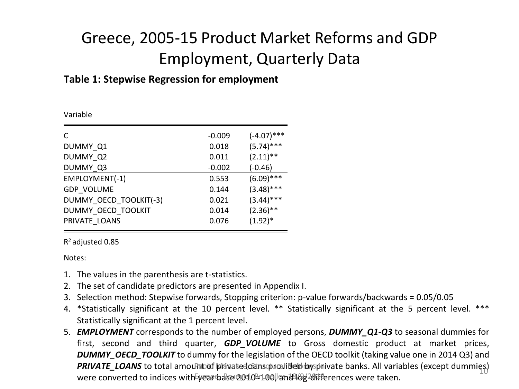### Greece, 2005-15 Product Market Reforms and GDP Employment, Quarterly Data

#### **Table 1: Stepwise Regression for employment**

| Variable |  |
|----------|--|
|          |  |

| C                      | $-0.009$ | $(-4.07)$ *** |
|------------------------|----------|---------------|
| DUMMY Q1               | 0.018    | $(5.74)$ ***  |
| DUMMY Q2               | 0.011    | $(2.11)$ **   |
| DUMMY Q3               | $-0.002$ | $(-0.46)$     |
| EMPLOYMENT(-1)         | 0.553    | $(6.09)$ ***  |
| <b>GDP VOLUME</b>      | 0.144    | $(3.48)$ ***  |
| DUMMY OECD TOOLKIT(-3) | 0.021    | $(3.44)$ ***  |
| DUMMY OECD TOOLKIT     | 0.014    | $(2.36)$ **   |
| PRIVATE LOANS          | 0.076    | $(1.92)^*$    |
|                        |          |               |

R <sup>2</sup>adjusted 0.85

Notes:

- 1. The values in the parenthesis are t-statistics.
- 2. The set of candidate predictors are presented in Appendix I.
- 3. Selection method: Stepwise forwards, Stopping criterion: p-value forwards/backwards = 0.05/0.05
- 4. \*Statistically significant at the 10 percent level. \*\* Statistically significant at the 5 percent level. \*\*\* Statistically significant at the 1 percent level.
- 5. *EMPLOYMENT* corresponds to the number of employed persons, *DUMMY\_Q1-Q3* to seasonal dummies for \*Statistically significant at the 10 percent level. \*\* Statistically significant at the 5 percent level. \*\*\*<br>Statistically significant at the 1 percent level.<br>**EMPLOYMENT** corresponds to the number of employed persons, **DU** *DUMMY\_OECD\_TOOLKIT* to dummy for the legislation of the OECD toolkit (taking value one in 2014 Q3) and PRIVATE\_LOANS to total amountof privatedoans provided by sprivate banks. All variables (except dummies)  $m$ ്ബ് 2021) സ്ത്രീ സ്ഥാനങ്ങള് പ്രഖ്യാപന്ത്രങ്ങളും മുഖ്യപ്രവാദന്ത്രിക്കുന്നത്. An variables (except damming y<br>were converted to indices with year base 2010-100, and 18/0g-20 fferences were taken.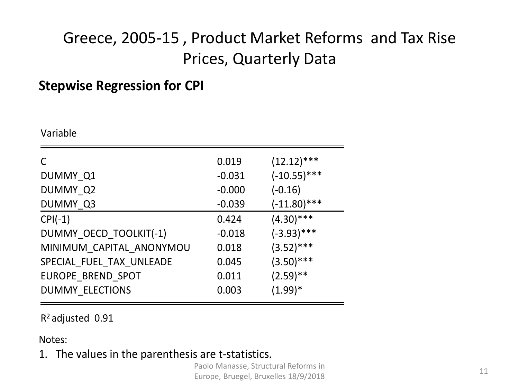### Greece, 2005-15 , Product Market Reforms and Tax Rise Prices, Quarterly Data

### **Stepwise Regression for CPI**

Variable

| C                        | 0.019    | $(12.12)$ ***  |
|--------------------------|----------|----------------|
| DUMMY Q1                 | $-0.031$ | $(-10.55)$ *** |
| DUMMY Q2                 | $-0.000$ | $(-0.16)$      |
| DUMMY Q3                 | $-0.039$ | $(-11.80)$ *** |
| $CPI(-1)$                | 0.424    | $(4.30)$ ***   |
| DUMMY OECD TOOLKIT(-1)   | $-0.018$ | $(-3.93)$ ***  |
| MINIMUM CAPITAL ANONYMOU | 0.018    | $(3.52)$ ***   |
| SPECIAL_FUEL_TAX_UNLEADE | 0.045    | $(3.50)$ ***   |
| EUROPE BREND SPOT        | 0.011    | $(2.59)$ **    |
| <b>DUMMY ELECTIONS</b>   | 0.003    | $(1.99)^*$     |
|                          |          |                |

R <sup>2</sup>adjusted 0.91

Notes:

1. The values in the parenthesis are t-statistics.

Paolo Manasse, Structural Reforms in Europe, Bruegel, Bruxelles 18/9/2018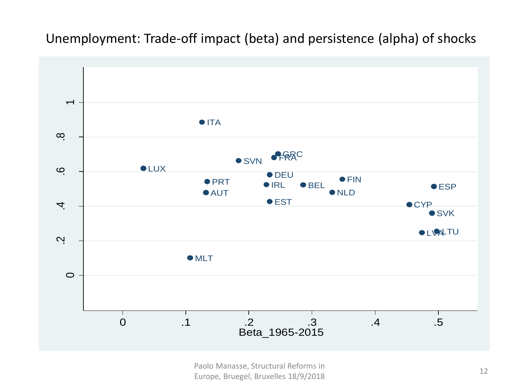### Unemployment: Trade-off impact (beta) and persistence (alpha) of shocks



Paolo Manasse, Structural Reforms in Europe, Bruegel, Bruxelles 18/9/2018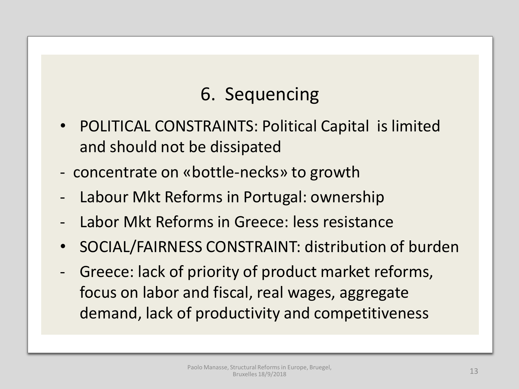### 6. Sequencing

- POLITICAL CONSTRAINTS: Political Capital is limited and should not be dissipated
- concentrate on «bottle-necks» to growth
- Labour Mkt Reforms in Portugal: ownership
- Labor Mkt Reforms in Greece: less resistance
- SOCIAL/FAIRNESS CONSTRAINT: distribution of burden
- Greece: lack of priority of product market reforms, focus on labor and fiscal, real wages, aggregate demand, lack of productivity and competitiveness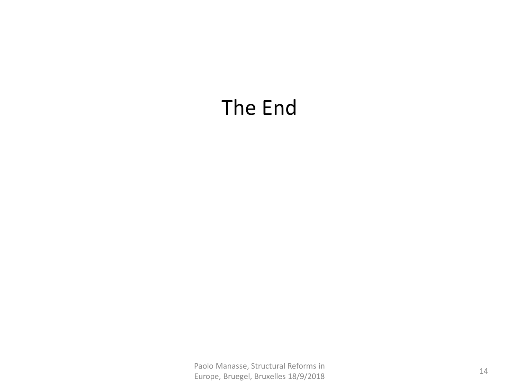## The End

Paolo Manasse, Structural Reforms in Paulo Manasse, Structural Nelofins in<br>Europe, Bruegel, Bruxelles 18/9/2018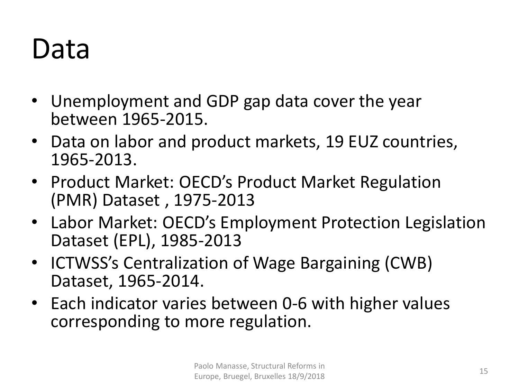## Data

- Unemployment and GDP gap data cover the year between 1965-2015.
- Data on labor and product markets, 19 EUZ countries, 1965-2013.
- Product Market: OECD's Product Market Regulation (PMR) Dataset , 1975-2013
- Labor Market: OECD's Employment Protection Legislation Dataset (EPL), 1985-2013
- ICTWSS's Centralization of Wage Bargaining (CWB) Dataset, 1965-2014.
- Each indicator varies between 0-6 with higher values corresponding to more regulation.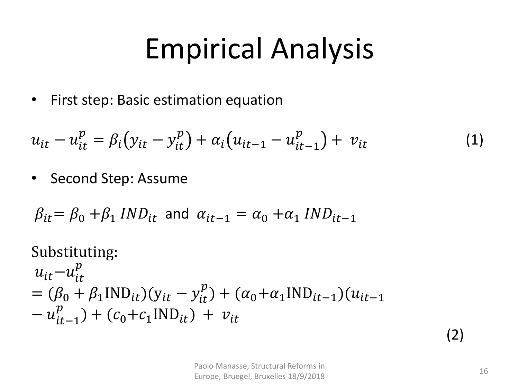# Empirical Analysis

• First step: Basic estimation equation

$$
u_{it} - u_{it}^p = \beta_i (y_{it} - y_{it}^p) + \alpha_i (u_{it-1} - u_{it-1}^p) + v_{it}
$$
 (1)

• Second Step: Assume

$$
\beta_{it} = \beta_0 + \beta_1 \, IND_{it} \text{ and } \alpha_{it-1} = \alpha_0 + \alpha_1 \, IND_{it-1}
$$

Substituting:  
\n
$$
u_{it} - u_{it}^p
$$
  
\n $= (\beta_0 + \beta_1 IND_{it})(y_{it} - y_{it}^p) + (\alpha_0 + \alpha_1 IND_{it-1})(u_{it-1} - u_{it-1}^p) + (c_0 + c_1 IND_{it}) + v_{it}$ 

(2)